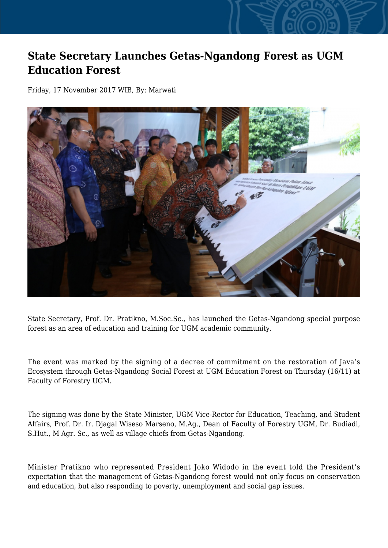## **State Secretary Launches Getas-Ngandong Forest as UGM Education Forest**

Friday, 17 November 2017 WIB, By: Marwati



State Secretary, Prof. Dr. Pratikno, M.Soc.Sc., has launched the Getas-Ngandong special purpose forest as an area of education and training for UGM academic community.

The event was marked by the signing of a decree of commitment on the restoration of Java's Ecosystem through Getas-Ngandong Social Forest at UGM Education Forest on Thursday (16/11) at Faculty of Forestry UGM.

The signing was done by the State Minister, UGM Vice-Rector for Education, Teaching, and Student Affairs, Prof. Dr. Ir. Djagal Wiseso Marseno, M.Ag., Dean of Faculty of Forestry UGM, Dr. Budiadi, S.Hut., M Agr. Sc., as well as village chiefs from Getas-Ngandong.

Minister Pratikno who represented President Joko Widodo in the event told the President's expectation that the management of Getas-Ngandong forest would not only focus on conservation and education, but also responding to poverty, unemployment and social gap issues.